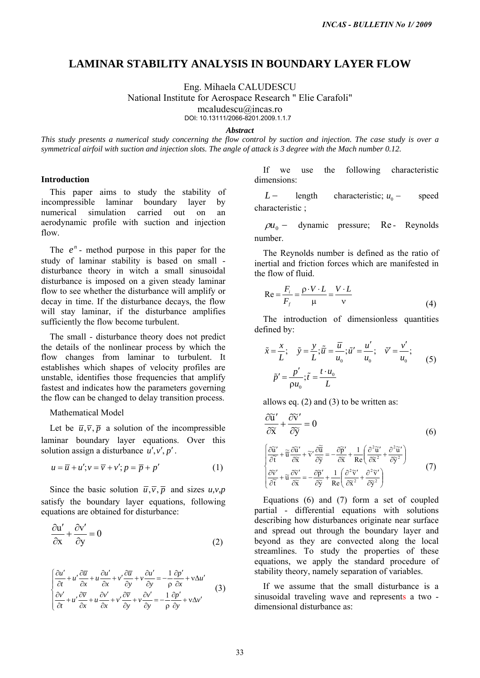# **LAMINAR STABILITY ANALYSIS IN BOUNDARY LAYER FLOW**

Eng. Mihaela CALUDESCU

National Institute for Aerospace Research " Elie Carafoli"

mcaludescu@incas.ro

DOI: 10.13111/2066-8201.2009.1.1.7

## *Abstract*

*This study presents a numerical study concerning the flow control by suction and injection. The case study is over a symmetrical airfoil with suction and injection slots. The angle of attack is 3 degree with the Mach number 0.12.* 

## **Introduction**

This paper aims to study the stability of incompressible laminar boundary layer by numerical simulation carried out on an aerodynamic profile with suction and injection flow.

The  $e^n$ - method purpose in this paper for the study of laminar stability is based on small disturbance theory in witch a small sinusoidal disturbance is imposed on a given steady laminar flow to see whether the disturbance will amplify or decay in time. If the disturbance decays, the flow will stay laminar, if the disturbance amplifies sufficiently the flow become turbulent.

The small - disturbance theory does not predict the details of the nonlinear process by which the flow changes from laminar to turbulent. It establishes which shapes of velocity profiles are unstable, identifies those frequencies that amplify fastest and indicates how the parameters governing the flow can be changed to delay transition process.

# Mathematical Model

Let be  $\overline{u}, \overline{v}, \overline{p}$  a solution of the incompressible laminar boundary layer equations. Over this solution assign a disturbance  $u', v', p'$ .

$$
u = \overline{u} + u'; v = \overline{v} + v'; p = \overline{p} + p'
$$
 (1)

Since the basic solution  $\overline{u}, \overline{v}, \overline{p}$  and sizes  $u, v, p$ satisfy the boundary layer equations, following equations are obtained for disturbance:

$$
\frac{\partial u'}{\partial x} + \frac{\partial v'}{\partial y} = 0
$$
 (2)

$$
\begin{cases}\n\frac{\partial u'}{\partial t} + u' \frac{\partial \overline{u}}{\partial x} + u \frac{\partial u'}{\partial x} + v' \frac{\partial \overline{u}}{\partial y} + v \frac{\partial u'}{\partial y} = -\frac{1}{\rho} \frac{\partial p'}{\partial x} + v \Delta u' \\
\frac{\partial v'}{\partial t} + u' \frac{\partial \overline{v}}{\partial x} + u \frac{\partial v'}{\partial x} + v' \frac{\partial \overline{v}}{\partial y} + v \frac{\partial v'}{\partial y} = -\frac{1}{\rho} \frac{\partial p'}{\partial y} + v \Delta v'\n\end{cases} (3)
$$

If we use the following characteristic dimensions:

 $L$  − length characteristic;  $u_0$  − speed characteristic ;

 $\rho u_0$  − dynamic pressure; number. Re- Reynolds

The Reynolds number is defined as the ratio of inertial and friction forces which are manifested in the flow of fluid.

$$
Re = \frac{F_i}{F_f} = \frac{\rho \cdot V \cdot L}{\mu} = \frac{V \cdot L}{v}
$$
(4)

The introduction of dimensionless quantities defined by:

$$
\tilde{x} = \frac{x}{L}; \quad \tilde{y} = \frac{y}{L}; \tilde{u} = \frac{\overline{u}}{u_0}; \tilde{u}' = \frac{u'}{u_0}; \quad \tilde{v}' = \frac{v'}{u_0};
$$
\n
$$
\tilde{p}' = \frac{p'}{\rho u_0}; \tilde{t} = \frac{t \cdot u_0}{L}
$$
\n(5)

allows eq. (2) and (3) to be written as:

$$
\frac{\partial \widetilde{u}'}{\partial \widetilde{x}} + \frac{\partial \widetilde{v}'}{\partial \widetilde{y}} = 0
$$
\n
$$
\left[ \frac{\partial \widetilde{u}'}{\partial \widetilde{t}} + \widetilde{u} \frac{\partial \widetilde{u}'}{\partial \widetilde{x}} + \widetilde{v}' \frac{\partial \widetilde{u}}{\partial \widetilde{y}} \right] = -\frac{\partial \widetilde{p}'}{\partial \widetilde{x}} + \frac{1}{Re} \left( \frac{\partial^2 \widetilde{u}'}{\partial \widetilde{x}^2} + \frac{\partial^2 \widetilde{u}'}{\partial \widetilde{y}^2} \right)
$$
\n
$$
\left[ \frac{\partial \widetilde{v}'}{\partial \widetilde{t}} + \widetilde{u} \frac{\partial \widetilde{v}'}{\partial \widetilde{x}} \right] = -\frac{\partial \widetilde{p}'}{\partial \widetilde{y}} + \frac{1}{Re} \left( \frac{\partial^2 \widetilde{v}'}{\partial \widetilde{x}^2} + \frac{\partial^2 \widetilde{v}'}{\partial \widetilde{y}^2} \right)
$$
\n(7)

Equations (6) and (7) form a set of coupled partial - differential equations with solutions describing how disturbances originate near surface and spread out through the boundary layer and beyond as they are convected along the local streamlines. To study the properties of these equations, we apply the standard procedure of stability theory, namely separation of variables. *INCAS - BULLETIN No 1/ 2009*<br>
31S IN BOUNDARY LAYER FLOW<br>
CALUDESCU<br>
CONLUMESCU<br>
200611.57<br>
200611.00051.17<br>
200611.20091.17<br>
200612.20091.17<br>
200612.20091.17<br> *LIG* increases and *injection*, *The case study is over*<br>

If we assume that the small disturbance is a sinusoidal traveling wave and represents a two dimensional disturbance as: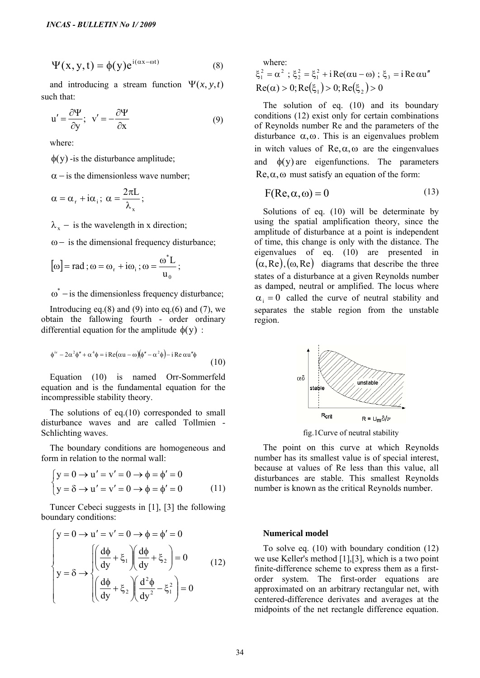$$
\Psi(x, y, t) = \phi(y)e^{i(\alpha x - \omega t)}
$$
\n(8)

and introducing a stream function  $\Psi(x, y, t)$ such that:

$$
u' = \frac{\partial \Psi}{\partial y}; \quad v' = -\frac{\partial \Psi}{\partial x}
$$
(9)

where:

 $\phi(y)$  -is the disturbance amplitude;

 $\alpha$  – is the dimensionless wave number;

$$
\alpha=\alpha_{\rm r}+i\alpha_{\rm i}\,;\; \alpha=\frac{2\pi L}{\lambda_{\rm x}}\,;\;
$$

 $\lambda_{r}$  – is the wavelength in x direction;

 $\omega$  – is the dimensional frequency disturbance;

$$
[\omega] = \text{rad} \; ; \omega = \omega_r + i\omega_i \; ; \omega = \frac{\omega^* L}{u_0} \; ;
$$

 $\omega^*$  – is the dimensionless frequency disturbance;

Introducing eq. $(8)$  and  $(9)$  into eq. $(6)$  and  $(7)$ , we obtain the fallowing fourth - order ordinary differential equation for the amplitude  $\phi(y)$ :

$$
\phi^{iv} - 2\alpha^2 \phi'' + \alpha^4 \phi = i \operatorname{Re}(\alpha u - \omega)(\phi'' - \alpha^2 \phi) - i \operatorname{Re} \alpha u'' \phi \tag{10}
$$

Equation (10) is named Orr-Sommerfeld equation and is the fundamental equation for the incompressible stability theory.

The solutions of eq.(10) corresponded to small disturbance waves and are called Tollmien - Schlichting waves.

The boundary conditions are homogeneous and form in relation to the normal wall:

$$
\begin{cases}\ny = 0 \to u' = v' = 0 \to \phi = \phi' = 0 \\
y = \delta \to u' = v' = 0 \to \phi = \phi' = 0\n\end{cases}
$$
\n(11)

Tuncer Cebeci suggests in [1], [3] the following boundary conditions:

*INCAS - BULLETIN No I/2009*  
\nΨ (x, y, t) = φ(y)e<sup>i(αx-ωt)</sup> (8)  
\nand introducing a stream function Ψ(x, y, t)  
\nwhich that:  
\n
$$
u' = \frac{\partial Ψ}{\partial y}
$$
;  $v' = -\frac{\partial Ψ}{\partial x}$  (9)  
\nwhere:  
\nφ(y) - is the disturbances amplitude;  
\nα – is the dimensionless wave number;  
\nα = α<sub>r</sub> + iα<sub>i</sub>; α =  $\frac{2πL}{λ_x}$ ;  
\nλ<sub>x</sub> – is the wavelength in x direction;  
\nω – is the dimensional frequency disturbance;  
\n[ω] = rad; ω = ω<sub>r</sub> + iω<sub>i</sub>; ω =  $\frac{ω^*L}{u_0}$ ;  
\nω<sup>\*</sup> – is the dimensions of the frequency disturbance;  
\n[Inroducing eq.(8) and (9) into eq.(6) and (7), we  
\nbbain the fallowing fourth – order ordinary  
\nifferential equation for the amplitude φ(y) :  
\nφ\* – 2α<sup>2</sup>φ\* + α<sup>4</sup>φ = iRe(αu – ω)(φ<sup>r</sup> – α<sup>2</sup>φ) – iReαu<sup>4</sup>φ (10)  
\nEquation and is the fundamental equation for the  
\nquation and is the fundamental equation for the  
\nconpressible stability theory.  
\nThe solutions of eq.(10) corresponded to small  
\nsisturbance waves and are called Tollmien -  
\nchlichting waves.  
\nThe boundary conditions are homogeneous and  
\nform in relation to the normal wall:  
\n
$$
y = 0 \rightarrow u' = v' = 0 \rightarrow φ = φ' = 0
$$
\n
$$
y = δ \rightarrow u' = v' = 0 \rightarrow φ = φ' = 0
$$
\n
$$
y = δ \rightarrow u' = v' = 0 \rightarrow φ = φ' = 0
$$
\n
$$
y = δ \rightarrow u' = v' = 0 \rightarrow φ = φ' = 0
$$
\n
$$
y = 0 \rightarrow u' = v' = 0 \rightarrow φ = φ' = 0
$$
\n
$$
y = 0 \rightarrow u' = 0 \rightarrow φ = φ' = 0
$$
\n
$$
y = 0 \rightarrow u' = 0 \rightarrow φ = φ' = 0
$$
\n
$$
y = 0 \rightarrow u' = 0 \rightarrow φ = φ' = 0
$$
\n
$$
y = 0 \rightarrow u' =
$$

where:

 $\xi_1^2 = \alpha^2$ ;  $\xi_2^2 = \xi_1^2 + i \text{Re}(\alpha u - \omega)$ ;  $\xi_3 = i \text{Re} \alpha u''$  $Re(\alpha) > 0; Re(\xi_1) > 0; Re(\xi_2) > 0$ 

The solution of eq. (10) and its boundary conditions (12) exist only for certain combinations of Reynolds number Re and the parameters of the disturbance  $\alpha, \omega$ . This is an eigenvalues problem in witch values of  $\text{Re}, \alpha, \omega$  are the eingenvalues and  $\phi(y)$  are eigenfunctions. The parameters Re,  $\alpha$ ,  $\omega$  must satisfy an equation of the form:

$$
F(Re, \alpha, \omega) = 0 \tag{13}
$$

Solutions of eq. (10) will be determinate by using the spatial amplification theory, since the amplitude of disturbance at a point is independent of time, this change is only with the distance. The eigenvalues of eq. (10) are presented in  $(\alpha, Re), (\omega, Re)$  diagrams that describe the three states of a disturbance at a given Reynolds number as damped, neutral or amplified. The locus where  $\alpha_i = 0$  called the curve of neutral stability and separates the stable region from the unstable region.



fig.1Curve of neutral stability

The point on this curve at which Reynolds number has its smallest value is of special interest, because at values of Re less than this value, all disturbances are stable. This smallest Reynolds number is known as the critical Reynolds number.

#### **Numerical model**

To solve eq. (10) with boundary condition (12) we use Keller's method [1],[3], which is a two point finite-difference scheme to express them as a firstorder system. The first-order equations are approximated on an arbitrary rectangular net, with centered-difference derivates and averages at the midpoints of the net rectangle difference equation.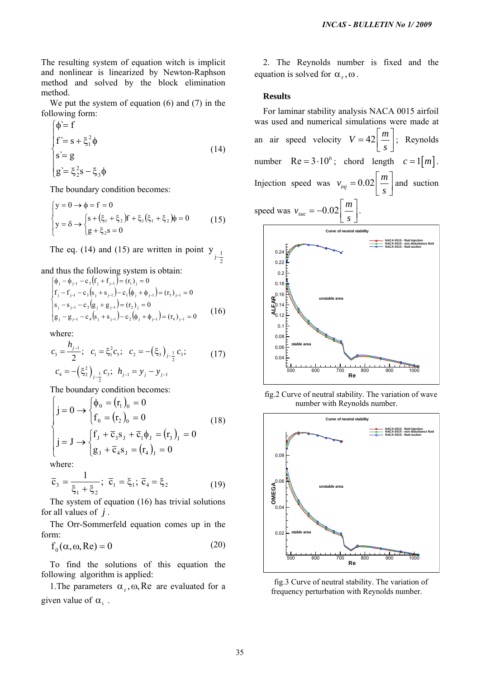The resulting system of equation witch is implicit and nonlinear is linearized by Newton-Raphson method and solved by the block elimination method.

We put the system of equation (6) and (7) in the following form:

$$
\begin{cases}\n\phi = f \\
f = s + \xi_1^2 \phi \\
s = g \\
g = \xi_2^2 s - \xi_3 \phi\n\end{cases}
$$
\n(14)

The boundary condition becomes:

$$
\begin{cases}\ny = 0 \to \phi = f = 0 \\
y = \delta \to \begin{cases}\ns + (\xi_1 + \xi_2)f + \xi_1(\xi_1 + \xi_2)\phi = 0 \\
g + \xi_2 s = 0\n\end{cases} (15)
$$

The eq. (14) and (15) are written in point  $y_{j-\frac{1}{2}}$ 

and thus the following system is obtain:

$$
\begin{cases}\n\phi_j - \phi_{j-1} - c_3 (f_j + f_{j-1}) = (r_1)_j = 0 \\
f_j - f_{j-1} - c_3 (s_j + s_{j-1}) - c_1 (\phi_j + \phi_{j-1}) = (r_3)_{j-1} = 0 \\
s_j - s_{j-1} - c_3 (g_j + g_{j-1}) = (r_2)_j = 0 \\
g_j - g_{j-1} - c_4 (s_j + s_{j-1}) - c_2 (\phi_j + \phi_{j-1}) = (r_4)_{j-1} = 0\n\end{cases}
$$
\n(16)

where:

$$
c_3 = \frac{h_{j-1}}{2}; \quad c_1 = \xi_1^2 c_3; \quad c_2 = -(\xi_3)_{j-\frac{1}{2}} c_3; \quad (17)
$$

$$
c_4 = -(\xi_2^2)_{j-\frac{1}{2}} c_3; \quad h_{j-1} = y_j - y_{j-1}
$$

The boundary condition becomes:

$$
\begin{cases}\nj = 0 \to \begin{cases} \phi_0 = (r_1)_0 = 0 \\
f_0 = (r_2)_0 = 0\n\end{cases} \\
j = J \to \begin{cases} f_J + \overline{c}_3 s_J + \overline{c}_1 \phi_J = (r_3)_J = 0 \\
g_J + \overline{c}_4 s_J = (r_4)_J = 0\n\end{cases} (18)
$$

where:

$$
\overline{c}_3 = \frac{1}{\xi_1 + \xi_2}; \ \overline{c}_1 = \xi_1; \ \overline{c}_4 = \xi_2 \tag{19}
$$

The system of equation (16) has trivial solutions for all values of *j* .

The Orr-Sommerfeld equation comes up in the form:

$$
f_0(\alpha, \omega, Re) = 0 \tag{20}
$$

To find the solutions of this equation the following algorithm is applied:

1. The parameters  $\alpha_r$ ,  $\omega$ , Re are evaluated for a given value of  $\alpha_i$ .

2. The Reynolds number is fixed and the equation is solved for  $\alpha_r, \omega$ .

# **Results**

For laminar stability analysis NACA 0015 airfoil was used and numerical simulations were made at an air speed velocity  $V = 42 \left[ \frac{m}{2} \right]$  $=42\left\lfloor \frac{m}{s} \right\rfloor$ ; Reynolds number  $Re = 3.10^6$ ; chord length  $c = 1[m]$ . Injection speed was  $v_{inj} = 0.02$  $v_{\rm ini} = 0.02 \frac{m}{m}$  $= 0.02 \left[ \frac{m}{s} \right]$  and suction speed was  $v_{\text{succ}} = -0.02$ *s*  $\mid m \mid$  $\left\lfloor \frac{m}{s} \right\rfloor$ . **AL**<br>U0.14<br>**A**<sub>0.12</sub> 0.08 0.1  $10.14$  $g^{0.16}$  $0.18$ 0.2 0.22 0.24 **NACA 0015 - fluid injection NACA 0015 - non-disturbance fluid NACA 0015 - fluid suction Curve of neutral stability unstable area stable area INCAS - BULLETIN No 1/ 2009**<br>
2. The Reynolds number is fixed and t<br>
equation is solved for  $\alpha_r, \omega$ .<br> **Results**<br>
For laminar stability analysis NACA 0015 airf<br>
was used and numerical simulations were made<br>
an air speed



fig.2 Curve of neutral stability. The variation of wave number with Reynolds number.



fig.3 Curve of neutral stability. The variation of frequency perturbation with Reynolds number.